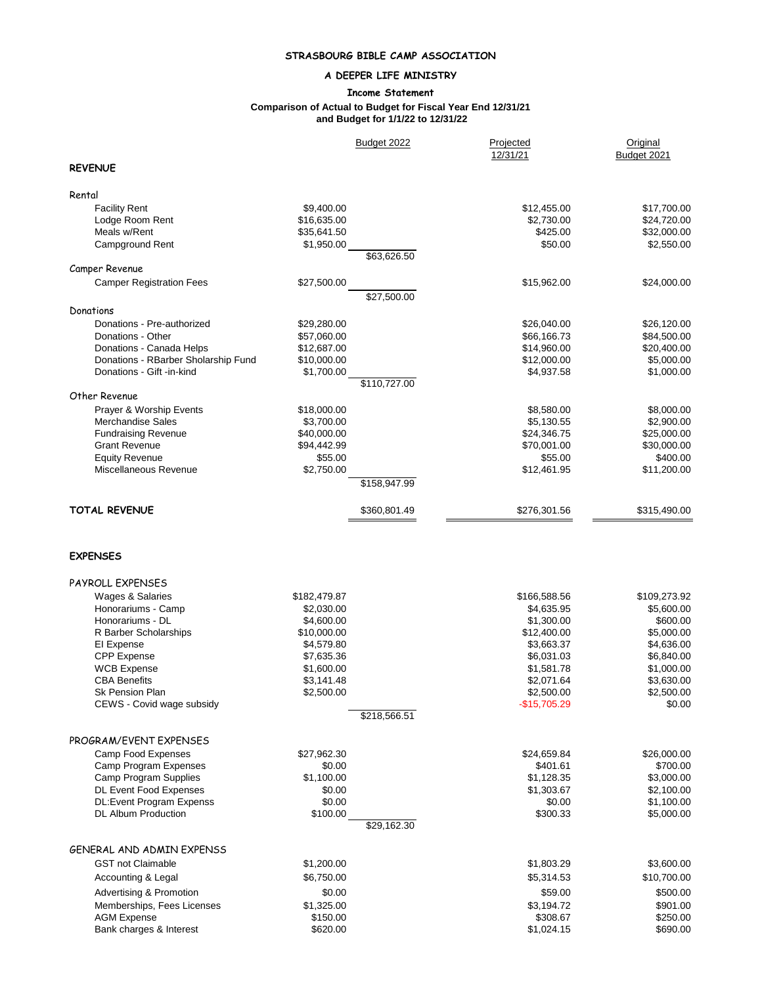# **STRASBOURG BIBLE CAMP ASSOCIATION**

## **A DEEPER LIFE MINISTRY**

### **Income Statement**

#### **Comparison of Actual to Budget for Fiscal Year End 12/31/21 and Budget for 1/1/22 to 12/31/22**

|                                     |                          | Budget 2022  | Projected<br>12/31/21     | Original<br>Budget 2021 |
|-------------------------------------|--------------------------|--------------|---------------------------|-------------------------|
| <b>REVENUE</b>                      |                          |              |                           |                         |
| Rental                              |                          |              |                           |                         |
| <b>Facility Rent</b>                | \$9,400.00               |              | \$12,455.00               | \$17,700.00             |
| Lodge Room Rent                     | \$16,635.00              |              | \$2,730.00                | \$24,720.00             |
| Meals w/Rent                        | \$35,641.50              |              | \$425.00                  | \$32,000.00             |
| Campground Rent                     | \$1,950.00               | \$63,626.50  | \$50.00                   | \$2,550.00              |
| Camper Revenue                      |                          |              |                           |                         |
| <b>Camper Registration Fees</b>     | \$27,500.00              |              | \$15,962.00               | \$24,000.00             |
| Donations                           |                          | \$27,500.00  |                           |                         |
| Donations - Pre-authorized          | \$29,280.00              |              | \$26,040.00               | \$26,120.00             |
| Donations - Other                   | \$57,060.00              |              | \$66,166.73               | \$84,500.00             |
| Donations - Canada Helps            | \$12,687.00              |              | \$14,960.00               | \$20,400.00             |
| Donations - RBarber Sholarship Fund | \$10,000.00              |              | \$12,000.00               | \$5,000.00              |
| Donations - Gift -in-kind           | \$1,700.00               |              | \$4,937.58                | \$1,000.00              |
|                                     |                          | \$110,727.00 |                           |                         |
| Other Revenue                       |                          |              |                           |                         |
| Prayer & Worship Events             | \$18,000.00              |              | \$8,580.00                | \$8,000.00              |
| Merchandise Sales                   | \$3,700.00               |              | \$5,130.55                | \$2,900.00              |
| <b>Fundraising Revenue</b>          | \$40,000.00              |              | \$24,346.75               | \$25,000.00             |
| <b>Grant Revenue</b>                | \$94,442.99              |              | \$70,001.00               | \$30,000.00             |
| <b>Equity Revenue</b>               | \$55.00                  |              | \$55.00                   | \$400.00                |
| Miscellaneous Revenue               | \$2,750.00               | \$158,947.99 | \$12,461.95               | \$11,200.00             |
|                                     |                          |              |                           |                         |
| <b>TOTAL REVENUE</b>                |                          | \$360,801.49 | \$276,301.56              | \$315,490.00            |
| <b>EXPENSES</b>                     |                          |              |                           |                         |
|                                     |                          |              |                           |                         |
| PAYROLL EXPENSES                    |                          |              |                           |                         |
| Wages & Salaries                    | \$182,479.87             |              | \$166,588.56              | \$109,273.92            |
| Honorariums - Camp                  | \$2,030.00<br>\$4,600.00 |              | \$4,635.95                | \$5,600.00              |
| Honorariums - DL                    | \$10,000.00              |              | \$1,300.00                | \$600.00<br>\$5,000.00  |
| R Barber Scholarships<br>El Expense | \$4,579.80               |              | \$12,400.00<br>\$3,663.37 | \$4,636.00              |
| <b>CPP</b> Expense                  | \$7,635.36               |              | \$6,031.03                | \$6,840.00              |
| <b>WCB Expense</b>                  | \$1,600.00               |              | \$1,581.78                | \$1,000.00              |
| <b>CBA Benefits</b>                 | \$3,141.48               |              | \$2,071.64                | \$3,630.00              |
| Sk Pension Plan                     | \$2,500.00               |              | \$2,500.00                | \$2,500.00              |
| CEWS - Covid wage subsidy           |                          |              | $-$15,705.29$             | \$0.00                  |
|                                     |                          | \$218,566.51 |                           |                         |
| PROGRAM/EVENT EXPENSES              |                          |              |                           |                         |
| Camp Food Expenses                  | \$27,962.30              |              | \$24,659.84               | \$26,000.00             |
| <b>Camp Program Expenses</b>        | \$0.00                   |              | \$401.61                  | \$700.00                |
| Camp Program Supplies               | \$1,100.00               |              | \$1,128.35                | \$3,000.00              |
| <b>DL Event Food Expenses</b>       | \$0.00                   |              | \$1,303.67                | \$2,100.00              |
| DL:Event Program Expenss            | \$0.00                   |              | \$0.00                    | \$1,100.00              |
| <b>DL Album Production</b>          | \$100.00                 |              | \$300.33                  | \$5,000.00              |
|                                     |                          | \$29,162.30  |                           |                         |
| GENERAL AND ADMIN EXPENSS           |                          |              |                           |                         |
| <b>GST not Claimable</b>            | \$1,200.00               |              | \$1,803.29                | \$3,600.00              |
| Accounting & Legal                  | \$6,750.00               |              | \$5,314.53                | \$10,700.00             |
| Advertising & Promotion             | \$0.00                   |              | \$59.00                   | \$500.00                |
| Memberships, Fees Licenses          | \$1,325.00               |              | \$3,194.72                | \$901.00                |
| <b>AGM Expense</b>                  | \$150.00                 |              | \$308.67                  | \$250.00                |
| Bank charges & Interest             | \$620.00                 |              | \$1,024.15                | \$690.00                |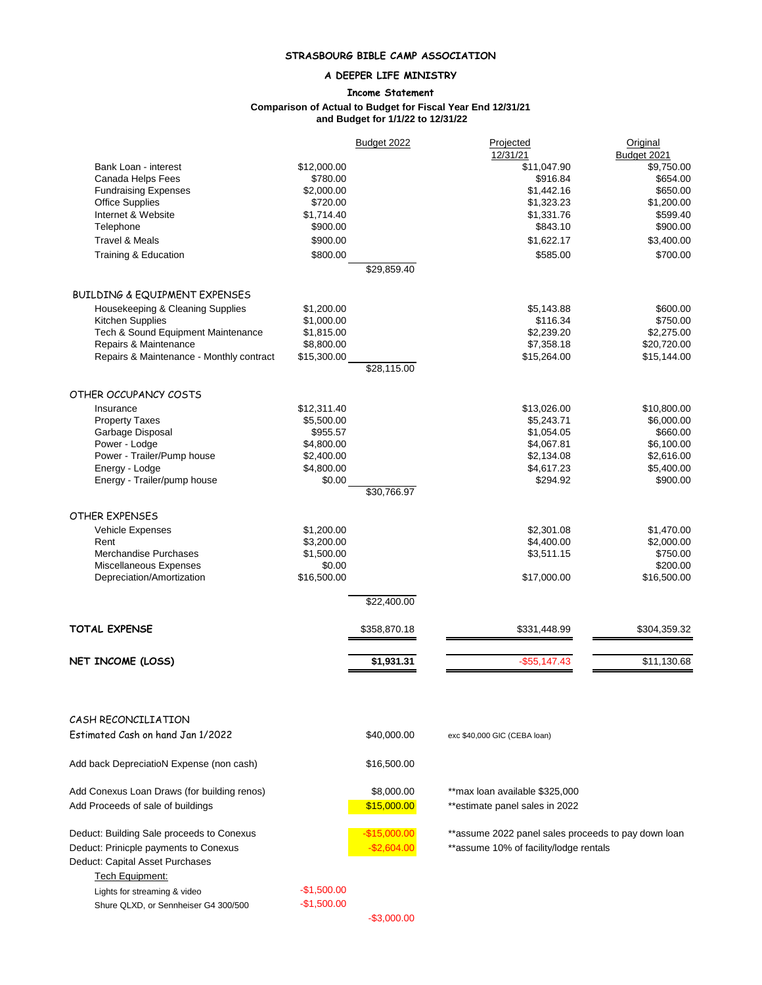# **STRASBOURG BIBLE CAMP ASSOCIATION**

## **A DEEPER LIFE MINISTRY**

### **Income Statement**

### **Comparison of Actual to Budget for Fiscal Year End 12/31/21 and Budget for 1/1/22 to 12/31/22**

|                                                                          |                        | Budget 2022   | Projected<br>12/31/21                               | Original<br>Budget 2021 |
|--------------------------------------------------------------------------|------------------------|---------------|-----------------------------------------------------|-------------------------|
| Bank Loan - interest                                                     | \$12,000.00            |               | \$11,047.90                                         | \$9,750.00              |
| Canada Helps Fees                                                        | \$780.00               |               | \$916.84                                            | \$654.00                |
| <b>Fundraising Expenses</b>                                              | \$2,000.00             |               | \$1,442.16                                          | \$650.00                |
| <b>Office Supplies</b>                                                   | \$720.00               |               | \$1,323.23                                          | \$1,200.00              |
| Internet & Website                                                       | \$1,714.40             |               | \$1,331.76                                          | \$599.40                |
| Telephone                                                                | \$900.00               |               | \$843.10                                            | \$900.00                |
| <b>Travel &amp; Meals</b>                                                | \$900.00               |               | \$1,622.17                                          | \$3,400.00              |
| Training & Education                                                     | \$800.00               |               | \$585.00                                            | \$700.00                |
|                                                                          |                        | \$29,859.40   |                                                     |                         |
| <b>BUILDING &amp; EQUIPMENT EXPENSES</b>                                 |                        |               |                                                     |                         |
| Housekeeping & Cleaning Supplies                                         | \$1,200.00             |               | \$5,143.88                                          | \$600.00                |
| Kitchen Supplies                                                         | \$1,000.00             |               | \$116.34                                            | \$750.00                |
| Tech & Sound Equipment Maintenance                                       | \$1,815.00             |               | \$2,239.20                                          | \$2,275.00              |
| Repairs & Maintenance                                                    | \$8,800.00             |               | \$7,358.18                                          | \$20,720.00             |
| Repairs & Maintenance - Monthly contract                                 | \$15,300.00            |               | \$15,264.00                                         | \$15,144.00             |
|                                                                          |                        | \$28,115.00   |                                                     |                         |
| OTHER OCCUPANCY COSTS                                                    |                        |               |                                                     |                         |
| Insurance                                                                | \$12,311.40            |               | \$13,026.00                                         | \$10,800.00             |
| <b>Property Taxes</b>                                                    | \$5,500.00             |               | \$5.243.71                                          | \$6,000.00              |
| Garbage Disposal                                                         | \$955.57<br>\$4,800.00 |               | \$1,054.05<br>\$4,067.81                            | \$660.00<br>\$6,100.00  |
| Power - Lodge<br>Power - Trailer/Pump house                              | \$2,400.00             |               | \$2,134.08                                          | \$2,616.00              |
| Energy - Lodge                                                           | \$4,800.00             |               | \$4,617.23                                          | \$5,400.00              |
| Energy - Trailer/pump house                                              | \$0.00                 |               | \$294.92                                            | \$900.00                |
|                                                                          |                        | \$30,766.97   |                                                     |                         |
| OTHER EXPENSES                                                           |                        |               |                                                     |                         |
| Vehicle Expenses                                                         | \$1,200.00             |               | \$2,301.08                                          | \$1,470.00              |
| Rent                                                                     | \$3,200.00             |               | \$4,400.00                                          | \$2,000.00              |
| Merchandise Purchases                                                    | \$1,500.00             |               | \$3,511.15                                          | \$750.00                |
| Miscellaneous Expenses                                                   | \$0.00                 |               |                                                     | \$200.00                |
| Depreciation/Amortization                                                | \$16,500.00            |               | \$17,000.00                                         | \$16,500.00             |
|                                                                          |                        | \$22,400.00   |                                                     |                         |
| <b>TOTAL EXPENSE</b>                                                     |                        | \$358,870.18  | \$331,448.99                                        | \$304,359.32            |
|                                                                          |                        |               |                                                     |                         |
| NET INCOME (LOSS)                                                        |                        | \$1,931.31    | $-$55,147.43$                                       | \$11,130.68             |
|                                                                          |                        |               |                                                     |                         |
| CASH RECONCILIATION                                                      |                        |               |                                                     |                         |
| Estimated Cash on hand Jan 1/2022                                        |                        | \$40,000.00   | exc \$40,000 GIC (CEBA loan)                        |                         |
| Add back DepreciatioN Expense (non cash)                                 |                        | \$16,500.00   |                                                     |                         |
| Add Conexus Loan Draws (for building renos)                              |                        | \$8,000.00    | ** max loan available \$325,000                     |                         |
| Add Proceeds of sale of buildings                                        |                        | \$15,000.00   | **estimate panel sales in 2022                      |                         |
| Deduct: Building Sale proceeds to Conexus                                |                        | $-$15,000.00$ | **assume 2022 panel sales proceeds to pay down loan |                         |
| Deduct: Prinicple payments to Conexus<br>Deduct: Capital Asset Purchases |                        | $-$2,604.00$  | **assume 10% of facility/lodge rentals              |                         |

-\$3,000.00

Tech Equipment:

Lights for streaming & video -\$1,500.00 Shure QLXD, or Sennheiser G4 300/500 -\$1,500.00